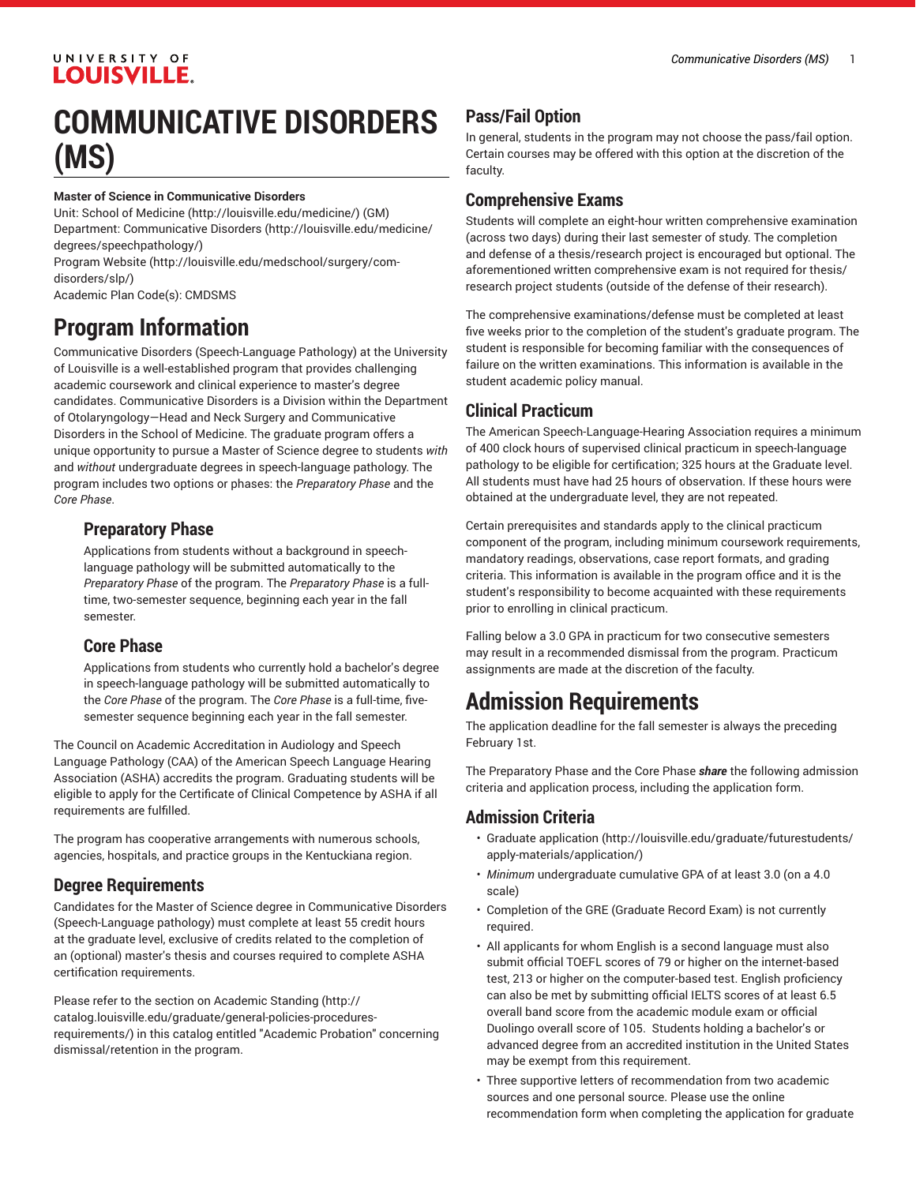# UNIVERSITY OF **LOUISVILLE.**

# **COMMUNICATIVE DISORDERS (MS)**

#### **Master of Science in Communicative Disorders**

Unit: [School of Medicine \(http://louisville.edu/medicine/\)](http://louisville.edu/medicine/) (GM) Department: [Communicative](http://louisville.edu/medicine/degrees/speechpathology/) Disorders ([http://louisville.edu/medicine/](http://louisville.edu/medicine/degrees/speechpathology/) [degrees/speechpathology/](http://louisville.edu/medicine/degrees/speechpathology/))

[Program](http://louisville.edu/medschool/surgery/com-disorders/slp/) Website [\(http://louisville.edu/medschool/surgery/com](http://louisville.edu/medschool/surgery/com-disorders/slp/)[disorders/slp/\)](http://louisville.edu/medschool/surgery/com-disorders/slp/)

Academic Plan Code(s): CMDSMS

# **Program Information**

Communicative Disorders (Speech-Language Pathology) at the University of Louisville is a well-established program that provides challenging academic coursework and clinical experience to master's degree candidates. Communicative Disorders is a Division within the Department of Otolaryngology—Head and Neck Surgery and Communicative Disorders in the School of Medicine. The graduate program offers a unique opportunity to pursue a Master of Science degree to students *with* and *without* undergraduate degrees in speech-language pathology. The program includes two options or phases: the *Preparatory Phase* and the *Core Phase*.

#### **Preparatory Phase**

Applications from students without a background in speechlanguage pathology will be submitted automatically to the *Preparatory Phase* of the program. The *Preparatory Phase* is a fulltime, two-semester sequence, beginning each year in the fall semester.

#### **Core Phase**

Applications from students who currently hold a bachelor's degree in speech-language pathology will be submitted automatically to the *Core Phase* of the program. The *Core Phase* is a full-time, fivesemester sequence beginning each year in the fall semester.

The Council on Academic Accreditation in Audiology and Speech Language Pathology (CAA) of the American Speech Language Hearing Association (ASHA) accredits the program. Graduating students will be eligible to apply for the Certificate of Clinical Competence by ASHA if all requirements are fulfilled.

The program has cooperative arrangements with numerous schools, agencies, hospitals, and practice groups in the Kentuckiana region.

# **Degree Requirements**

Candidates for the Master of Science degree in Communicative Disorders (Speech-Language pathology) must complete at least 55 credit hours at the graduate level, exclusive of credits related to the completion of an (optional) master's thesis and courses required to complete ASHA certification requirements.

Please refer to the section on [Academic Standing](http://catalog.louisville.edu/graduate/general-policies-procedures-requirements/) ([http://](http://catalog.louisville.edu/graduate/general-policies-procedures-requirements/) [catalog.louisville.edu/graduate/general-policies-procedures](http://catalog.louisville.edu/graduate/general-policies-procedures-requirements/)[requirements/\)](http://catalog.louisville.edu/graduate/general-policies-procedures-requirements/) in this catalog entitled "Academic Probation" concerning dismissal/retention in the program.

# **Pass/Fail Option**

In general, students in the program may not choose the pass/fail option. Certain courses may be offered with this option at the discretion of the faculty.

# **Comprehensive Exams**

Students will complete an eight-hour written comprehensive examination (across two days) during their last semester of study. The completion and defense of a thesis/research project is encouraged but optional. The aforementioned written comprehensive exam is not required for thesis/ research project students (outside of the defense of their research).

The comprehensive examinations/defense must be completed at least five weeks prior to the completion of the student's graduate program. The student is responsible for becoming familiar with the consequences of failure on the written examinations. This information is available in the student academic policy manual.

# **Clinical Practicum**

The American Speech-Language-Hearing Association requires a minimum of 400 clock hours of supervised clinical practicum in speech-language pathology to be eligible for certification; 325 hours at the Graduate level. All students must have had 25 hours of observation. If these hours were obtained at the undergraduate level, they are not repeated.

Certain prerequisites and standards apply to the clinical practicum component of the program, including minimum coursework requirements, mandatory readings, observations, case report formats, and grading criteria. This information is available in the program office and it is the student's responsibility to become acquainted with these requirements prior to enrolling in clinical practicum.

Falling below a 3.0 GPA in practicum for two consecutive semesters may result in a recommended dismissal from the program. Practicum assignments are made at the discretion of the faculty.

# **Admission Requirements**

The application deadline for the fall semester is always the preceding February 1st.

The Preparatory Phase and the Core Phase *share* the following admission criteria and application process, including the application form.

# **Admission Criteria**

- [Graduate application](http://louisville.edu/graduate/futurestudents/apply-materials/application/) [\(http://louisville.edu/graduate/futurestudents/](http://louisville.edu/graduate/futurestudents/apply-materials/application/) [apply-materials/application/](http://louisville.edu/graduate/futurestudents/apply-materials/application/))
- *Minimum* undergraduate cumulative GPA of at least 3.0 (on a 4.0 scale)
- Completion of the GRE (Graduate Record Exam) is not currently required.
- All applicants for whom English is a second language must also submit official TOEFL scores of 79 or higher on the internet-based test, 213 or higher on the computer-based test. English proficiency can also be met by submitting official IELTS scores of at least 6.5 overall band score from the academic module exam or official Duolingo overall score of 105. Students holding a bachelor's or advanced degree from an accredited institution in the United States may be exempt from this requirement.
- Three supportive letters of recommendation from two academic sources and one personal source. Please use the online recommendation form when completing the application for graduate